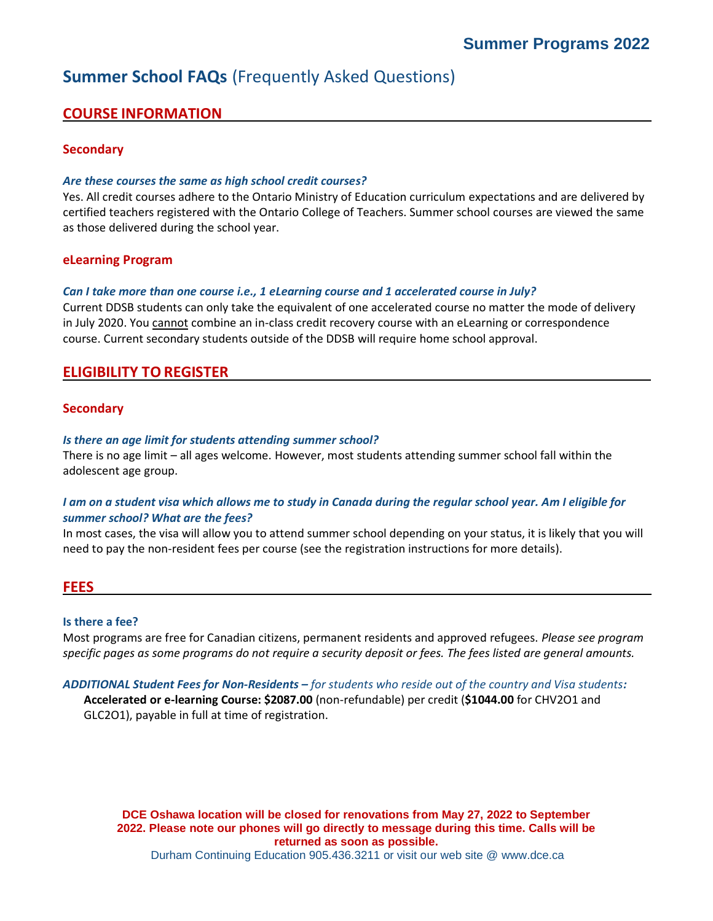# **Summer School FAQs** (Frequently Asked Questions)

# **COURSE INFORMATION**

# **Secondary**

### *Are these courses the same as high school credit courses?*

Yes. All credit courses adhere to the Ontario Ministry of Education curriculum expectations and are delivered by certified teachers registered with the Ontario College of Teachers. Summer school courses are viewed the same as those delivered during the school year.

## **eLearning Program**

#### *Can I take more than one course i.e., 1 eLearning course and 1 accelerated course in July?*

Current DDSB students can only take the equivalent of one accelerated course no matter the mode of delivery in July 2020. You cannot combine an in-class credit recovery course with an eLearning or correspondence course. Current secondary students outside of the DDSB will require home school approval.

# **ELIGIBILITY TOREGISTER**

#### **Secondary**

#### *Is there an age limit for students attending summer school?*

There is no age limit – all ages welcome. However, most students attending summer school fall within the adolescent age group.

## *I am on a student visa which allows me to study in Canada during the regular school year. Am I eligible for summer school? What are the fees?*

In most cases, the visa will allow you to attend summer school depending on your status, it is likely that you will need to pay the non-resident fees per course (see the registration instructions for more details).

## **FEES**

#### **Is there a fee?**

Most programs are free for Canadian citizens, permanent residents and approved refugees. *Please see program specific pages as some programs do not require a security deposit or fees. The fees listed are general amounts.*

#### *ADDITIONAL Student Fees for Non-Residents – for students who reside out of the country and Visa students:*

**Accelerated or e-learning Course: \$2087.00** (non-refundable) per credit (**\$1044.00** for CHV2O1 and GLC2O1), payable in full at time of registration.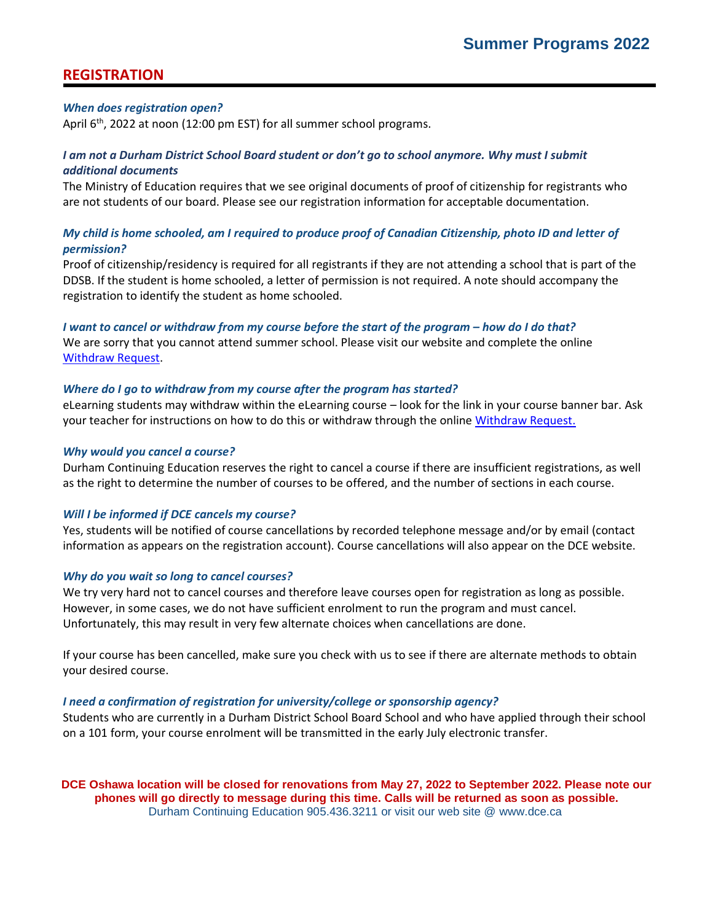# **REGISTRATION**

#### *When does registration open?*

April 6<sup>th</sup>, 2022 at noon (12:00 pm EST) for all summer school programs.

## *I am not a Durham District School Board student or don't go to school anymore. Why must I submit additional documents*

The Ministry of Education requires that we see original documents of proof of citizenship for registrants who are not students of our board. Please see our registration information for acceptable documentation.

# *My child is home schooled, am I required to produce proof of Canadian Citizenship, photo ID and letter of permission?*

Proof of citizenship/residency is required for all registrants if they are not attending a school that is part of the DDSB. If the student is home schooled, a letter of permission is not required. A note should accompany the registration to identify the student as home schooled.

*I* want to cancel or withdraw from my course before the start of the program – how do I do that? We are sorry that you cannot attend summer school. Please visit our website and complete the online [Withdraw Request.](https://forms.office.com/Pages/ResponsePage.aspx?id=Jrm3b-vtT02C6AwQ5Ee1cHdiV7p7eZRKt7bH7bLQca1UNU0zMEFaTjNDRzAzQVNFREdOUDIzQVVZUiQlQCN0PWcu)

#### *Where do I go to withdraw from my course after the program has started?*

eLearning students may withdraw within the eLearning course – look for the link in your course banner bar. Ask your teacher for instructions on how to do this or withdraw through the online [Withdraw Request.](https://forms.office.com/Pages/ResponsePage.aspx?id=Jrm3b-vtT02C6AwQ5Ee1cHdiV7p7eZRKt7bH7bLQca1UNU0zMEFaTjNDRzAzQVNFREdOUDIzQVVZUiQlQCN0PWcu)

#### *Why would you cancel a course?*

Durham Continuing Education reserves the right to cancel a course if there are insufficient registrations, as well as the right to determine the number of courses to be offered, and the number of sections in each course.

## *Will I be informed if DCE cancels my course?*

Yes, students will be notified of course cancellations by recorded telephone message and/or by email (contact information as appears on the registration account). Course cancellations will also appear on the DCE website.

#### *Why do you wait so long to cancel courses?*

We try very hard not to cancel courses and therefore leave courses open for registration as long as possible. However, in some cases, we do not have sufficient enrolment to run the program and must cancel. Unfortunately, this may result in very few alternate choices when cancellations are done.

If your course has been cancelled, make sure you check with us to see if there are alternate methods to obtain your desired course.

#### *I need a confirmation of registration for university/college or sponsorship agency?*

Students who are currently in a Durham District School Board School and who have applied through their school on a 101 form, your course enrolment will be transmitted in the early July electronic transfer.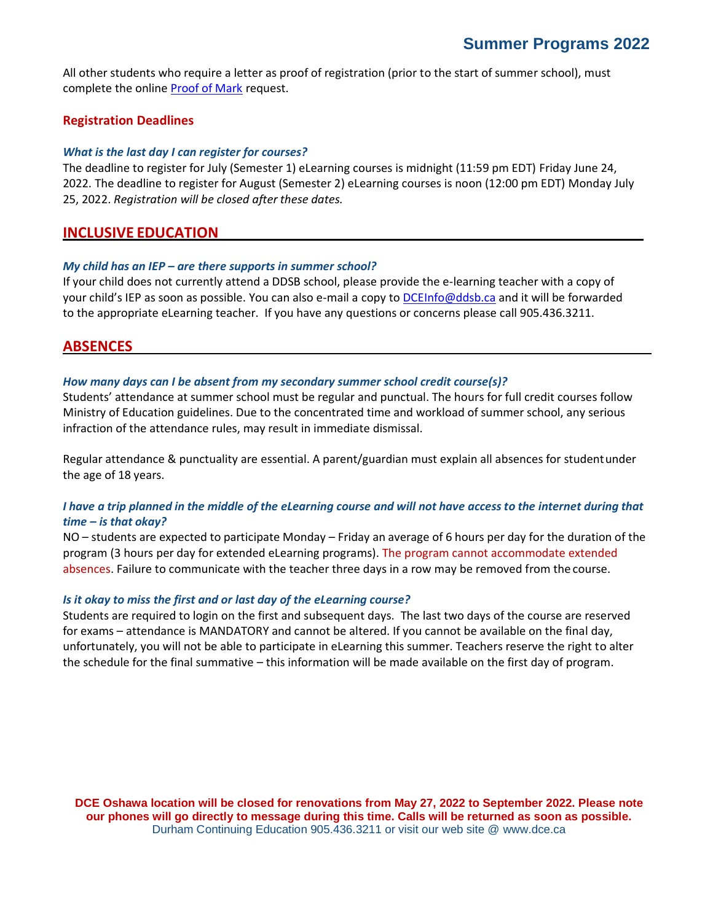All other students who require a letter as proof of registration (prior to the start of summer school), must complete the online [Proof of Mark](https://forms.office.com/Pages/ResponsePage.aspx?id=Jrm3b-vtT02C6AwQ5Ee1cHdiV7p7eZRKt7bH7bLQca1UREI1WlpPSFBXTlNXRjY4UjRTVjJDV0lRUSQlQCN0PWcu) request.

# **Registration Deadlines**

#### *What is the last day I can register for courses?*

The deadline to register for July (Semester 1) eLearning courses is midnight (11:59 pm EDT) Friday June 24, 2022. The deadline to register for August (Semester 2) eLearning courses is noon (12:00 pm EDT) Monday July 25, 2022. *Registration will be closed after these dates.*

# **INCLUSIVE EDUCATION**

#### *My child has an IEP – are there supports in summer school?*

If your child does not currently attend a DDSB school, please provide the e-learning teacher with a copy of your child's IEP as soon as possible. You can also e-mail a copy to [DCEInfo@ddsb.ca](mailto:DCEInfo@ddsb.ca) and it will be forwarded to the appropriate eLearning teacher. If you have any questions or concerns please call 905.436.3211.

# **ABSENCES**

#### *How many days can I be absent from my secondary summer school credit course(s)?*

Students' attendance at summer school must be regular and punctual. The hours for full credit courses follow Ministry of Education guidelines. Due to the concentrated time and workload of summer school, any serious infraction of the attendance rules, may result in immediate dismissal.

Regular attendance & punctuality are essential. A parent/guardian must explain all absences for studentunder the age of 18 years.

## I have a trip planned in the middle of the eLearning course and will not have access to the internet during that *time – is that okay?*

NO – students are expected to participate Monday – Friday an average of 6 hours per day for the duration of the program (3 hours per day for extended eLearning programs). The program cannot accommodate extended absences. Failure to communicate with the teacher three days in a row may be removed from the course.

#### *Is it okay to miss the first and or last day of the eLearning course?*

Students are required to login on the first and subsequent days. The last two days of the course are reserved for exams – attendance is MANDATORY and cannot be altered. If you cannot be available on the final day, unfortunately, you will not be able to participate in eLearning this summer. Teachers reserve the right to alter the schedule for the final summative – this information will be made available on the first day of program.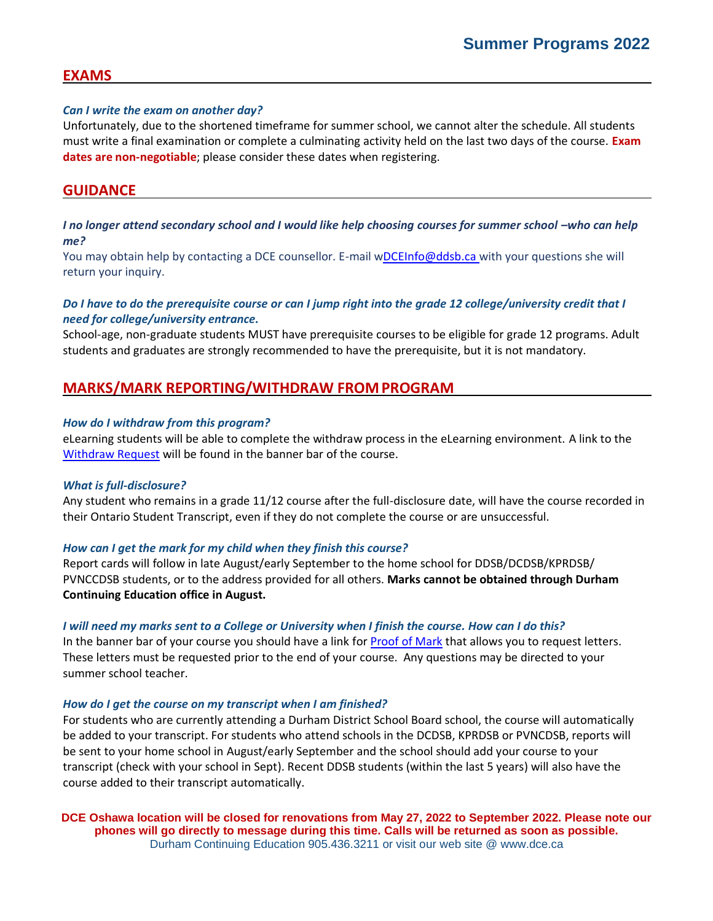# **EXAMS**

#### *Can I write the exam on another day?*

Unfortunately, due to the shortened timeframe for summer school, we cannot alter the schedule. All students must write a final examination or complete a culminating activity held on the last two days of the course. **Exam dates are non-negotiable**; please consider these dates when registering.

# **GUIDANCE**

# *I* no longer attend secondary school and *I* would like help choosing courses for summer school -who can help *me?*

You may obtain help by contacting a DCE counsellor. E-mail [wDCEInfo@ddsb.ca w](mailto:DCEInfo@ddsb.ca)ith your questions she will return your inquiry.

# *Do I have to do the prerequisite course or can I jump right into the grade 12 college/university credit that I need for college/university entrance.*

School-age, non-graduate students MUST have prerequisite courses to be eligible for grade 12 programs. Adult students and graduates are strongly recommended to have the prerequisite, but it is not mandatory.

# **MARKS/MARK REPORTING/WITHDRAW FROMPROGRAM**

#### *How do I withdraw from this program?*

eLearning students will be able to complete the withdraw process in the eLearning environment. A link to the [Withdraw Request](https://forms.office.com/Pages/ResponsePage.aspx?id=Jrm3b-vtT02C6AwQ5Ee1cHdiV7p7eZRKt7bH7bLQca1UNU0zMEFaTjNDRzAzQVNFREdOUDIzQVVZUiQlQCN0PWcu) will be found in the banner bar of the course.

#### *What is full-disclosure?*

Any student who remains in a grade 11/12 course after the full-disclosure date, will have the course recorded in their Ontario Student Transcript, even if they do not complete the course or are unsuccessful.

#### *How can I get the mark for my child when they finish this course?*

Report cards will follow in late August/early September to the home school for DDSB/DCDSB/KPRDSB/ PVNCCDSB students, or to the address provided for all others. **Marks cannot be obtained through Durham Continuing Education office in August.**

#### *I will need my marks sent to a College or University when I finish the course. How can I do this?*

In the banner bar of your course you should have a link for **Proof of Mark that allows you to request letters**. These letters must be requested prior to the end of your course. Any questions may be directed to your summer school teacher.

#### *How do I get the course on my transcript when I am finished?*

For students who are currently attending a Durham District School Board school, the course will automatically be added to your transcript. For students who attend schools in the DCDSB, KPRDSB or PVNCDSB, reports will be sent to your home school in August/early September and the school should add your course to your transcript (check with your school in Sept). Recent DDSB students (within the last 5 years) will also have the course added to their transcript automatically.